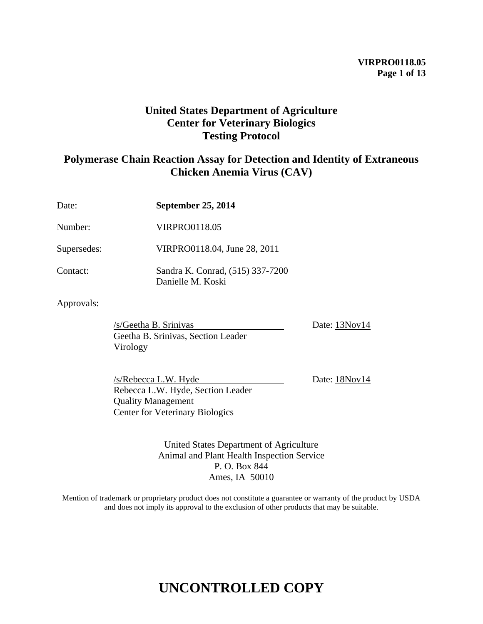## **VIRPRO0118.05 Page 1 of 13**

## **United States Department of Agriculture Center for Veterinary Biologics Testing Protocol**

## **Polymerase Chain Reaction Assay for Detection and Identity of Extraneous Chicken Anemia Virus (CAV)**

| Date:       | September 25, 2014                                    |
|-------------|-------------------------------------------------------|
| Number:     | <b>VIRPRO0118.05</b>                                  |
| Supersedes: | VIRPRO0118.04, June 28, 2011                          |
| Contact:    | Sandra K. Conrad, (515) 337-7200<br>Danielle M. Koski |

## Approvals:

/s/Geetha B. Srinivas Date: 13Nov14 Geetha B. Srinivas, Section Leader Virology

/s/Rebecca L.W. Hyde Date: 18Nov14 Rebecca L.W. Hyde, Section Leader Quality Management Center for Veterinary Biologics

United States Department of Agriculture Animal and Plant Health Inspection Service P. O. Box 844 Ames, IA 50010

Mention of trademark or proprietary product does not constitute a guarantee or warranty of the product by USDA and does not imply its approval to the exclusion of other products that may be suitable.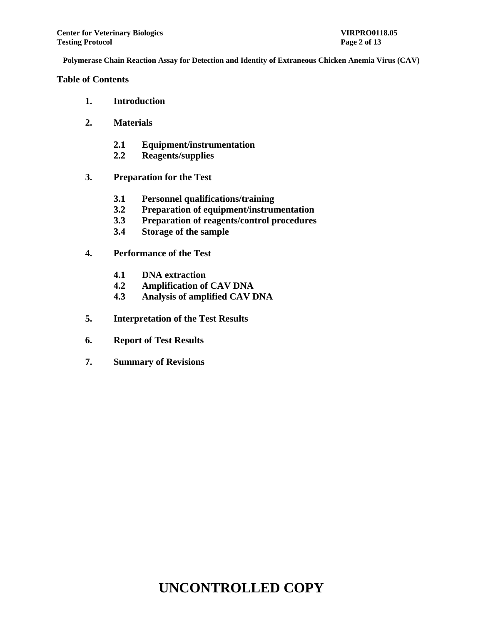**Table of Contents**

- **1. Introduction**
- **2. Materials**
	- **2.1 Equipment/instrumentation**
	- **2.2 Reagents/supplies**
- **3. Preparation for the Test**
	- **3.1 Personnel qualifications/training**
	- **3.2 Preparation of equipment/instrumentation**
	- **3.3 Preparation of reagents/control procedures**
	- **3.4 Storage of the sample**
- **4. Performance of the Test**
	- **4.1 DNA extraction**
	- **4.2 Amplification of CAV DNA**
	- **4.3 Analysis of amplified CAV DNA**
- **5. Interpretation of the Test Results**
- **6. Report of Test Results**
- **7. Summary of Revisions**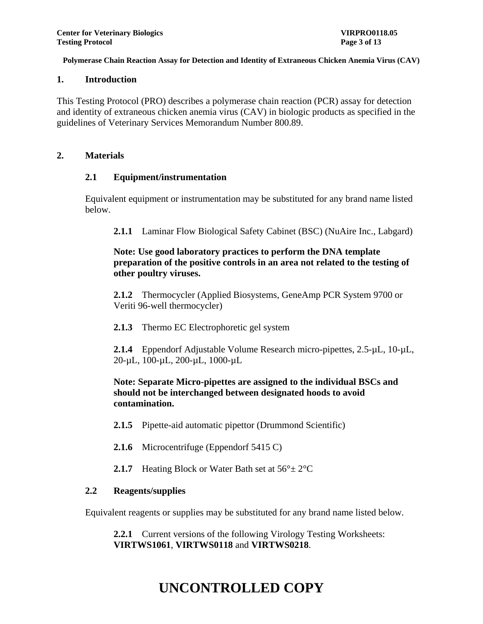#### **1. Introduction**

This Testing Protocol (PRO) describes a polymerase chain reaction (PCR) assay for detection and identity of extraneous chicken anemia virus (CAV) in biologic products as specified in the guidelines of Veterinary Services Memorandum Number 800.89.

### **2. Materials**

## **2.1 Equipment/instrumentation**

Equivalent equipment or instrumentation may be substituted for any brand name listed below.

**2.1.1** Laminar Flow Biological Safety Cabinet (BSC) (NuAire Inc., Labgard)

## **Note: Use good laboratory practices to perform the DNA template preparation of the positive controls in an area not related to the testing of other poultry viruses.**

**2.1.2** Thermocycler (Applied Biosystems, GeneAmp PCR System 9700 or Veriti 96-well thermocycler)

**2.1.3** Thermo EC Electrophoretic gel system

**2.1.4** Eppendorf Adjustable Volume Research micro-pipettes, 2.5-µL, 10-µL, 20-µL, 100-µL, 200-µL, 1000-µL

## **Note: Separate Micro-pipettes are assigned to the individual BSCs and should not be interchanged between designated hoods to avoid contamination.**

- **2.1.5** Pipette-aid automatic pipettor (Drummond Scientific)
- **2.1.6** Microcentrifuge (Eppendorf 5415 C)
- **2.1.7** Heating Block or Water Bath set at  $56^{\circ} \pm 2^{\circ}$ C

## **2.2 Reagents/supplies**

Equivalent reagents or supplies may be substituted for any brand name listed below.

**2.2.1** Current versions of the following Virology Testing Worksheets: **VIRTWS1061**, **VIRTWS0118** and **VIRTWS0218**.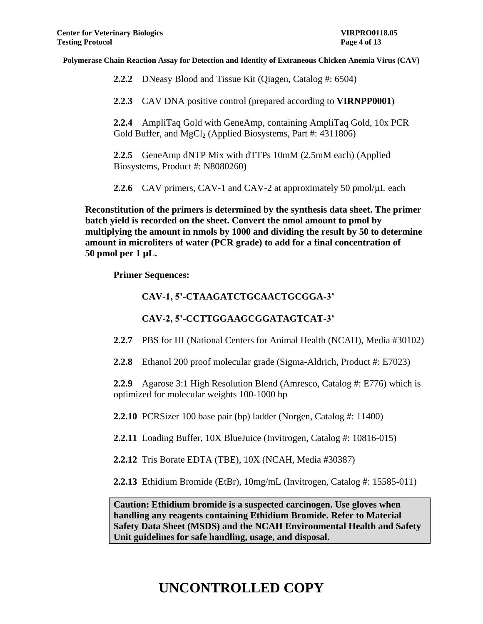**2.2.2** DNeasy Blood and Tissue Kit (Qiagen, Catalog #: 6504)

**2.2.3** CAV DNA positive control (prepared according to **VIRNPP0001**)

**2.2.4** AmpliTaq Gold with GeneAmp, containing AmpliTaq Gold, 10x PCR Gold Buffer, and  $MgCl<sub>2</sub>$  (Applied Biosystems, Part #: 4311806)

**2.2.5** GeneAmp dNTP Mix with dTTPs 10mM (2.5mM each) (Applied Biosystems, Product #: N8080260)

**2.2.6** CAV primers, CAV-1 and CAV-2 at approximately 50 pmol/ $\mu$ L each

**Reconstitution of the primers is determined by the synthesis data sheet. The primer batch yield is recorded on the sheet. Convert the nmol amount to pmol by multiplying the amount in nmols by 1000 and dividing the result by 50 to determine amount in microliters of water (PCR grade) to add for a final concentration of 50 pmol per 1 µL.** 

**Primer Sequences:**

## **CAV-1, 5'-CTAAGATCTGCAACTGCGGA-3'**

**CAV-2, 5'-CCTTGGAAGCGGATAGTCAT-3'**

**2.2.7** PBS for HI (National Centers for Animal Health (NCAH), Media #30102)

**2.2.8** Ethanol 200 proof molecular grade (Sigma-Aldrich, Product #: E7023)

**2.2.9** Agarose 3:1 High Resolution Blend (Amresco, Catalog #: E776) which is optimized for molecular weights 100-1000 bp

**2.2.10** PCRSizer 100 base pair (bp) ladder (Norgen, Catalog #: 11400)

**2.2.11** Loading Buffer, 10X BlueJuice (Invitrogen, Catalog #: 10816-015)

**2.2.12** Tris Borate EDTA (TBE), 10X (NCAH, Media #30387)

**2.2.13** Ethidium Bromide (EtBr), 10mg/mL (Invitrogen, Catalog #: 15585-011)

**Caution: Ethidium bromide is a suspected carcinogen. Use gloves when handling any reagents containing Ethidium Bromide. Refer to Material Safety Data Sheet (MSDS) and the NCAH Environmental Health and Safety Unit guidelines for safe handling, usage, and disposal.**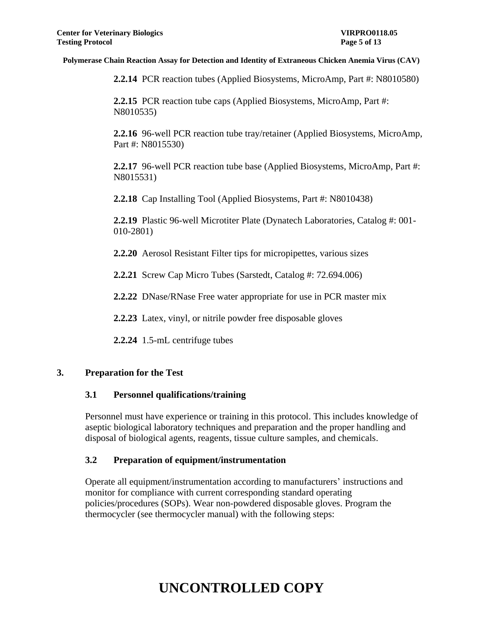**2.2.14** PCR reaction tubes (Applied Biosystems, MicroAmp, Part #: N8010580)

**2.2.15** PCR reaction tube caps (Applied Biosystems, MicroAmp, Part #: N8010535)

**2.2.16** 96-well PCR reaction tube tray/retainer (Applied Biosystems, MicroAmp, Part #: N8015530)

**2.2.17** 96-well PCR reaction tube base (Applied Biosystems, MicroAmp, Part #: N8015531)

**2.2.18** Cap Installing Tool (Applied Biosystems, Part #: N8010438)

**2.2.19** Plastic 96-well Microtiter Plate (Dynatech Laboratories, Catalog #: 001- 010-2801)

**2.2.20** Aerosol Resistant Filter tips for micropipettes, various sizes

**2.2.21** Screw Cap Micro Tubes (Sarstedt, Catalog #: 72.694.006)

**2.2.22** DNase/RNase Free water appropriate for use in PCR master mix

**2.2.23** Latex, vinyl, or nitrile powder free disposable gloves

**2.2.24** 1.5-mL centrifuge tubes

## **3. Preparation for the Test**

## **3.1 Personnel qualifications/training**

Personnel must have experience or training in this protocol. This includes knowledge of aseptic biological laboratory techniques and preparation and the proper handling and disposal of biological agents, reagents, tissue culture samples, and chemicals.

## **3.2 Preparation of equipment/instrumentation**

Operate all equipment/instrumentation according to manufacturers' instructions and monitor for compliance with current corresponding standard operating policies/procedures (SOPs). Wear non-powdered disposable gloves. Program the thermocycler (see thermocycler manual) with the following steps: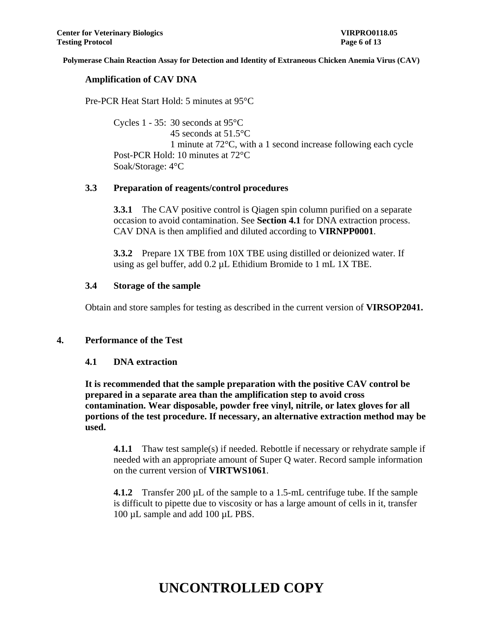#### **Amplification of CAV DNA**

Pre-PCR Heat Start Hold: 5 minutes at 95°C

Cycles 1 - 35: 30 seconds at 95°C 45 seconds at 51.5°C 1 minute at 72°C, with a 1 second increase following each cycle Post-PCR Hold: 10 minutes at 72°C Soak/Storage: 4°C

### **3.3 Preparation of reagents/control procedures**

**3.3.1** The CAV positive control is Qiagen spin column purified on a separate occasion to avoid contamination. See **Section 4.1** for DNA extraction process. CAV DNA is then amplified and diluted according to **VIRNPP0001**.

**3.3.2** Prepare 1X TBE from 10X TBE using distilled or deionized water. If using as gel buffer, add 0.2 µL Ethidium Bromide to 1 mL 1X TBE.

### **3.4 Storage of the sample**

Obtain and store samples for testing as described in the current version of **VIRSOP2041.**

## **4. Performance of the Test**

#### **4.1 DNA extraction**

**It is recommended that the sample preparation with the positive CAV control be prepared in a separate area than the amplification step to avoid cross contamination. Wear disposable, powder free vinyl, nitrile, or latex gloves for all portions of the test procedure. If necessary, an alternative extraction method may be used.**

**4.1.1** Thaw test sample(s) if needed. Rebottle if necessary or rehydrate sample if needed with an appropriate amount of Super Q water. Record sample information on the current version of **VIRTWS1061**.

**4.1.2** Transfer 200 µL of the sample to a 1.5-mL centrifuge tube. If the sample is difficult to pipette due to viscosity or has a large amount of cells in it, transfer 100 µL sample and add 100 µL PBS.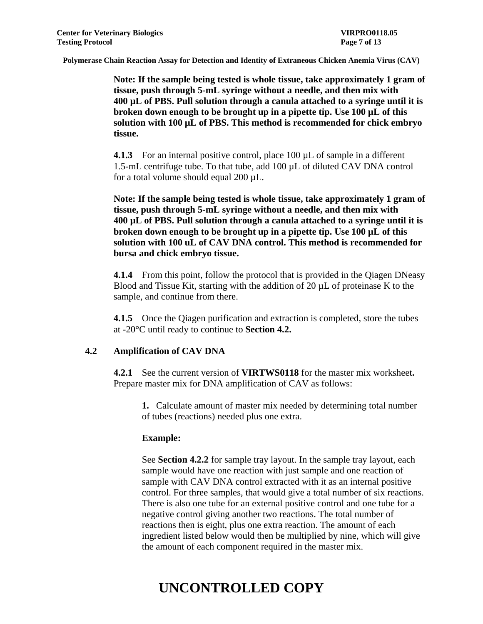**Note: If the sample being tested is whole tissue, take approximately 1 gram of tissue, push through 5-mL syringe without a needle, and then mix with 400 µL of PBS. Pull solution through a canula attached to a syringe until it is broken down enough to be brought up in a pipette tip. Use 100 µL of this solution with 100 µL of PBS. This method is recommended for chick embryo tissue.** 

**4.1.3** For an internal positive control, place 100 µL of sample in a different 1.5-mL centrifuge tube. To that tube, add 100 µL of diluted CAV DNA control for a total volume should equal 200 µL.

**Note: If the sample being tested is whole tissue, take approximately 1 gram of tissue, push through 5-mL syringe without a needle, and then mix with 400 µL of PBS. Pull solution through a canula attached to a syringe until it is broken down enough to be brought up in a pipette tip. Use 100 µL of this solution with 100 uL of CAV DNA control. This method is recommended for bursa and chick embryo tissue.** 

**4.1.4** From this point, follow the protocol that is provided in the Qiagen DNeasy Blood and Tissue Kit, starting with the addition of 20  $\mu$ L of proteinase K to the sample, and continue from there.

**4.1.5** Once the Qiagen purification and extraction is completed, store the tubes at -20°C until ready to continue to **Section 4.2.**

## **4.2 Amplification of CAV DNA**

**4.2.1** See the current version of **VIRTWS0118** for the master mix worksheet**.**  Prepare master mix for DNA amplification of CAV as follows:

**1.** Calculate amount of master mix needed by determining total number of tubes (reactions) needed plus one extra.

#### **Example:**

See **Section 4.2.2** for sample tray layout. In the sample tray layout, each sample would have one reaction with just sample and one reaction of sample with CAV DNA control extracted with it as an internal positive control. For three samples, that would give a total number of six reactions. There is also one tube for an external positive control and one tube for a negative control giving another two reactions. The total number of reactions then is eight, plus one extra reaction. The amount of each ingredient listed below would then be multiplied by nine, which will give the amount of each component required in the master mix.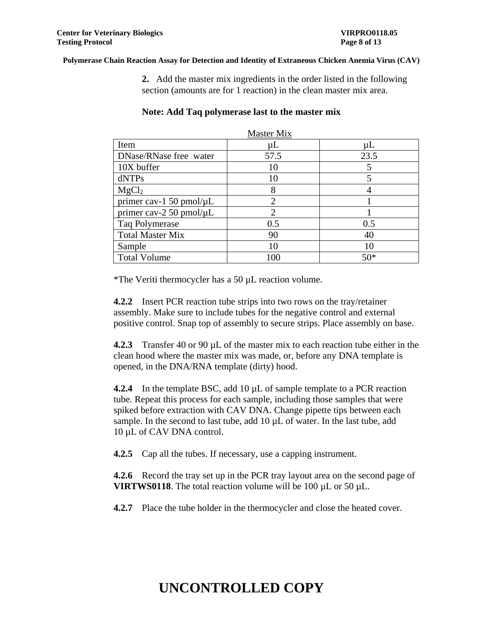**2.** Add the master mix ingredients in the order listed in the following section (amounts are for 1 reaction) in the clean master mix area.

| <b>Master Mix</b>             |                             |         |  |
|-------------------------------|-----------------------------|---------|--|
| Item                          | $\mu$ L                     | $\mu$ L |  |
| DNase/RNase free water        | 57.5                        | 23.5    |  |
| 10X buffer                    | 10                          | 5       |  |
| dNTPs                         | 10                          | 5       |  |
| MgCl <sub>2</sub>             | 8                           |         |  |
| primer cav-1 50 pmol/ $\mu$ L | $\mathcal{D}_{\mathcal{A}}$ |         |  |
| primer cav-2 50 pmol/ $\mu$ L | $\mathfrak{D}_{\cdot}$      |         |  |
| Taq Polymerase                | 0.5                         | 0.5     |  |
| <b>Total Master Mix</b>       | 90                          | 40      |  |
| Sample                        | 10                          | 10      |  |
| <b>Total Volume</b>           | 100                         | $50*$   |  |

#### **Note: Add Taq polymerase last to the master mix**

\*The Veriti thermocycler has a 50 µL reaction volume.

**4.2.2** Insert PCR reaction tube strips into two rows on the tray/retainer assembly. Make sure to include tubes for the negative control and external positive control. Snap top of assembly to secure strips. Place assembly on base.

**4.2.3** Transfer 40 or 90 µL of the master mix to each reaction tube either in the clean hood where the master mix was made, or, before any DNA template is opened, in the DNA/RNA template (dirty) hood.

**4.2.4** In the template BSC, add 10 µL of sample template to a PCR reaction tube. Repeat this process for each sample, including those samples that were spiked before extraction with CAV DNA. Change pipette tips between each sample. In the second to last tube, add 10  $\mu$ L of water. In the last tube, add 10 µL of CAV DNA control.

**4.2.5** Cap all the tubes. If necessary, use a capping instrument.

**4.2.6** Record the tray set up in the PCR tray layout area on the second page of **VIRTWS0118**. The total reaction volume will be 100 µL or 50 µL.

**4.2.7** Place the tube holder in the thermocycler and close the heated cover.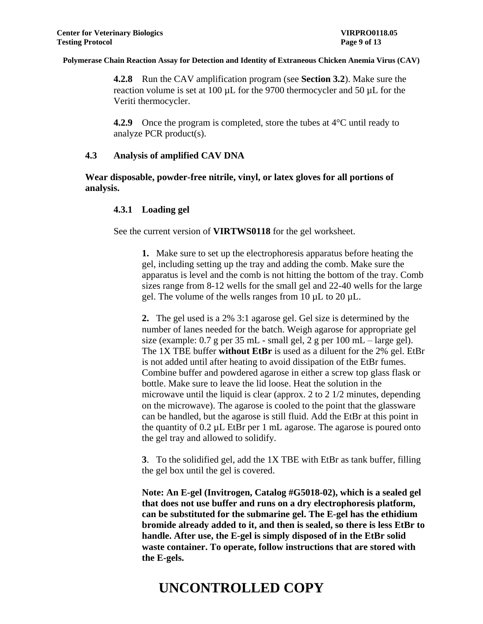**4.2.8** Run the CAV amplification program (see **Section 3.2**). Make sure the reaction volume is set at 100 µL for the 9700 thermocycler and 50 µL for the Veriti thermocycler.

**4.2.9** Once the program is completed, store the tubes at 4<sup>o</sup>C until ready to analyze PCR product(s).

## **4.3 Analysis of amplified CAV DNA**

**Wear disposable, powder-free nitrile, vinyl, or latex gloves for all portions of analysis.**

## **4.3.1 Loading gel**

See the current version of **VIRTWS0118** for the gel worksheet.

**1.** Make sure to set up the electrophoresis apparatus before heating the gel, including setting up the tray and adding the comb. Make sure the apparatus is level and the comb is not hitting the bottom of the tray. Comb sizes range from 8-12 wells for the small gel and 22-40 wells for the large gel. The volume of the wells ranges from 10 µL to 20 µL.

**2.** The gel used is a 2% 3:1 agarose gel. Gel size is determined by the number of lanes needed for the batch. Weigh agarose for appropriate gel size (example: 0.7 g per 35 mL - small gel, 2 g per 100 mL – large gel). The 1X TBE buffer **without EtBr** is used as a diluent for the 2% gel. EtBr is not added until after heating to avoid dissipation of the EtBr fumes. Combine buffer and powdered agarose in either a screw top glass flask or bottle. Make sure to leave the lid loose. Heat the solution in the microwave until the liquid is clear (approx. 2 to 2 1/2 minutes, depending on the microwave). The agarose is cooled to the point that the glassware can be handled, but the agarose is still fluid. Add the EtBr at this point in the quantity of 0.2 µL EtBr per 1 mL agarose. The agarose is poured onto the gel tray and allowed to solidify.

**3**. To the solidified gel, add the 1X TBE with EtBr as tank buffer, filling the gel box until the gel is covered.

**Note: An E-gel (Invitrogen, Catalog #G5018-02), which is a sealed gel that does not use buffer and runs on a dry electrophoresis platform, can be substituted for the submarine gel. The E-gel has the ethidium bromide already added to it, and then is sealed, so there is less EtBr to handle. After use, the E-gel is simply disposed of in the EtBr solid waste container. To operate, follow instructions that are stored with the E-gels.**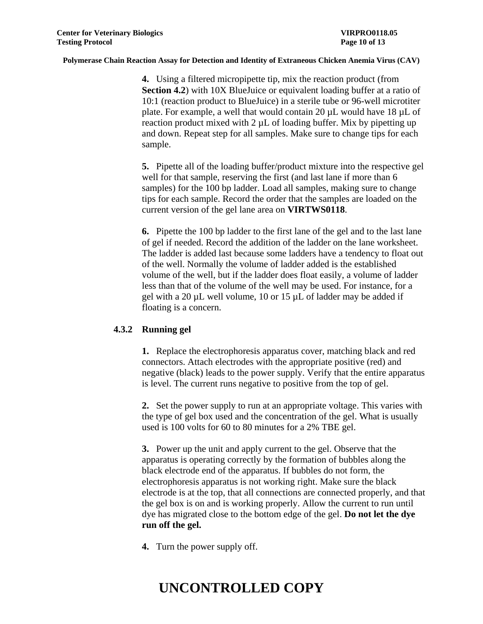**4.** Using a filtered micropipette tip, mix the reaction product (from **Section 4.2**) with 10X BlueJuice or equivalent loading buffer at a ratio of 10:1 (reaction product to BlueJuice) in a sterile tube or 96-well microtiter plate. For example, a well that would contain 20 µL would have 18 µL of reaction product mixed with 2  $\mu$ L of loading buffer. Mix by pipetting up and down. Repeat step for all samples. Make sure to change tips for each sample.

**5.** Pipette all of the loading buffer/product mixture into the respective gel well for that sample, reserving the first (and last lane if more than 6 samples) for the 100 bp ladder. Load all samples, making sure to change tips for each sample. Record the order that the samples are loaded on the current version of the gel lane area on **VIRTWS0118**.

**6.** Pipette the 100 bp ladder to the first lane of the gel and to the last lane of gel if needed. Record the addition of the ladder on the lane worksheet. The ladder is added last because some ladders have a tendency to float out of the well. Normally the volume of ladder added is the established volume of the well, but if the ladder does float easily, a volume of ladder less than that of the volume of the well may be used. For instance, for a gel with a 20 µL well volume, 10 or 15 µL of ladder may be added if floating is a concern.

## **4.3.2 Running gel**

**1.** Replace the electrophoresis apparatus cover, matching black and red connectors. Attach electrodes with the appropriate positive (red) and negative (black) leads to the power supply. Verify that the entire apparatus is level. The current runs negative to positive from the top of gel.

**2.** Set the power supply to run at an appropriate voltage. This varies with the type of gel box used and the concentration of the gel. What is usually used is 100 volts for 60 to 80 minutes for a 2% TBE gel.

**3.** Power up the unit and apply current to the gel. Observe that the apparatus is operating correctly by the formation of bubbles along the black electrode end of the apparatus. If bubbles do not form, the electrophoresis apparatus is not working right. Make sure the black electrode is at the top, that all connections are connected properly, and that the gel box is on and is working properly. Allow the current to run until dye has migrated close to the bottom edge of the gel. **Do not let the dye run off the gel.**

**4.** Turn the power supply off.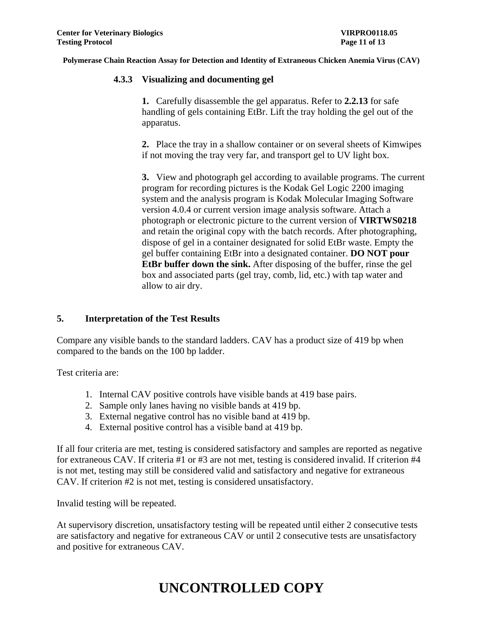## **4.3.3 Visualizing and documenting gel**

**1.** Carefully disassemble the gel apparatus. Refer to **2.2.13** for safe handling of gels containing EtBr. Lift the tray holding the gel out of the apparatus.

**2.** Place the tray in a shallow container or on several sheets of Kimwipes if not moving the tray very far, and transport gel to UV light box.

**3.** View and photograph gel according to available programs. The current program for recording pictures is the Kodak Gel Logic 2200 imaging system and the analysis program is Kodak Molecular Imaging Software version 4.0.4 or current version image analysis software. Attach a photograph or electronic picture to the current version of **VIRTWS0218** and retain the original copy with the batch records. After photographing, dispose of gel in a container designated for solid EtBr waste. Empty the gel buffer containing EtBr into a designated container. **DO NOT pour EtBr buffer down the sink.** After disposing of the buffer, rinse the gel box and associated parts (gel tray, comb, lid, etc.) with tap water and allow to air dry.

## **5. Interpretation of the Test Results**

Compare any visible bands to the standard ladders. CAV has a product size of 419 bp when compared to the bands on the 100 bp ladder.

Test criteria are:

- 1. Internal CAV positive controls have visible bands at 419 base pairs.
- 2. Sample only lanes having no visible bands at 419 bp.
- 3. External negative control has no visible band at 419 bp.
- 4. External positive control has a visible band at 419 bp.

If all four criteria are met, testing is considered satisfactory and samples are reported as negative for extraneous CAV. If criteria #1 or #3 are not met, testing is considered invalid. If criterion #4 is not met, testing may still be considered valid and satisfactory and negative for extraneous CAV. If criterion #2 is not met, testing is considered unsatisfactory.

Invalid testing will be repeated.

At supervisory discretion, unsatisfactory testing will be repeated until either 2 consecutive tests are satisfactory and negative for extraneous CAV or until 2 consecutive tests are unsatisfactory and positive for extraneous CAV.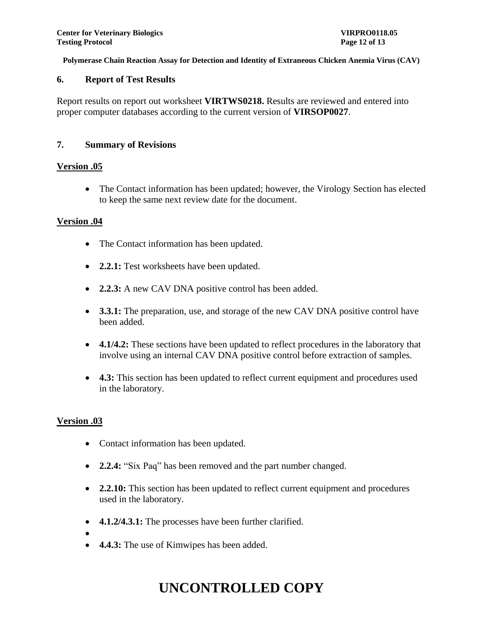#### **6. Report of Test Results**

Report results on report out worksheet **VIRTWS0218.** Results are reviewed and entered into proper computer databases according to the current version of **VIRSOP0027**.

### **7. Summary of Revisions**

### **Version .05**

• The Contact information has been updated; however, the Virology Section has elected to keep the same next review date for the document.

### **Version .04**

- The Contact information has been updated.
- **2.2.1:** Test worksheets have been updated.
- **2.2.3:** A new CAV DNA positive control has been added.
- **3.3.1:** The preparation, use, and storage of the new CAV DNA positive control have been added.
- **4.1/4.2:** These sections have been updated to reflect procedures in the laboratory that involve using an internal CAV DNA positive control before extraction of samples.
- **4.3:** This section has been updated to reflect current equipment and procedures used in the laboratory.

## **Version .03**

- Contact information has been updated.
- **2.2.4:** "Six Paq" has been removed and the part number changed.
- **2.2.10:** This section has been updated to reflect current equipment and procedures used in the laboratory.
- **4.1.2/4.3.1:** The processes have been further clarified.
- $\bullet$
- **4.4.3:** The use of Kimwipes has been added.